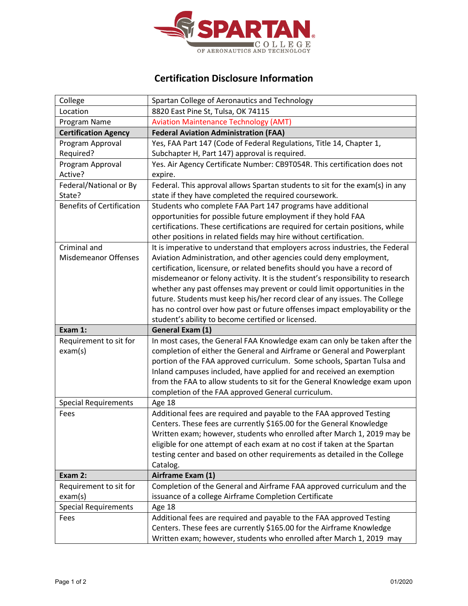

## **Certification Disclosure Information**

| College                          | Spartan College of Aeronautics and Technology                                                                                                         |
|----------------------------------|-------------------------------------------------------------------------------------------------------------------------------------------------------|
| Location                         | 8820 East Pine St, Tulsa, OK 74115                                                                                                                    |
| Program Name                     | <b>Aviation Maintenance Technology (AMT)</b>                                                                                                          |
| <b>Certification Agency</b>      | <b>Federal Aviation Administration (FAA)</b>                                                                                                          |
| Program Approval                 | Yes, FAA Part 147 (Code of Federal Regulations, Title 14, Chapter 1,                                                                                  |
| Required?                        | Subchapter H, Part 147) approval is required.                                                                                                         |
| Program Approval                 | Yes. Air Agency Certificate Number: CB9T054R. This certification does not                                                                             |
| Active?                          | expire.                                                                                                                                               |
| Federal/National or By           | Federal. This approval allows Spartan students to sit for the exam(s) in any                                                                          |
| State?                           | state if they have completed the required coursework.                                                                                                 |
| <b>Benefits of Certification</b> | Students who complete FAA Part 147 programs have additional                                                                                           |
|                                  | opportunities for possible future employment if they hold FAA                                                                                         |
|                                  | certifications. These certifications are required for certain positions, while                                                                        |
|                                  | other positions in related fields may hire without certification.                                                                                     |
| Criminal and                     | It is imperative to understand that employers across industries, the Federal                                                                          |
| <b>Misdemeanor Offenses</b>      | Aviation Administration, and other agencies could deny employment,                                                                                    |
|                                  | certification, licensure, or related benefits should you have a record of                                                                             |
|                                  | misdemeanor or felony activity. It is the student's responsibility to research                                                                        |
|                                  | whether any past offenses may prevent or could limit opportunities in the                                                                             |
|                                  | future. Students must keep his/her record clear of any issues. The College                                                                            |
|                                  | has no control over how past or future offenses impact employability or the                                                                           |
|                                  |                                                                                                                                                       |
|                                  | student's ability to become certified or licensed.                                                                                                    |
| Exam 1:                          | General Exam (1)                                                                                                                                      |
| Requirement to sit for           | In most cases, the General FAA Knowledge exam can only be taken after the                                                                             |
| exam(s)                          | completion of either the General and Airframe or General and Powerplant                                                                               |
|                                  | portion of the FAA approved curriculum. Some schools, Spartan Tulsa and                                                                               |
|                                  | Inland campuses included, have applied for and received an exemption                                                                                  |
|                                  | from the FAA to allow students to sit for the General Knowledge exam upon                                                                             |
|                                  | completion of the FAA approved General curriculum.                                                                                                    |
| <b>Special Requirements</b>      | Age 18                                                                                                                                                |
| Fees                             | Additional fees are required and payable to the FAA approved Testing                                                                                  |
|                                  | Centers. These fees are currently \$165.00 for the General Knowledge                                                                                  |
|                                  | Written exam; however, students who enrolled after March 1, 2019 may be                                                                               |
|                                  | eligible for one attempt of each exam at no cost if taken at the Spartan<br>testing center and based on other requirements as detailed in the College |
|                                  | Catalog.                                                                                                                                              |
| Exam 2:                          | Airframe Exam (1)                                                                                                                                     |
| Requirement to sit for           | Completion of the General and Airframe FAA approved curriculum and the                                                                                |
| exam(s)                          | issuance of a college Airframe Completion Certificate                                                                                                 |
| <b>Special Requirements</b>      | Age 18                                                                                                                                                |
| Fees                             | Additional fees are required and payable to the FAA approved Testing                                                                                  |
|                                  | Centers. These fees are currently \$165.00 for the Airframe Knowledge                                                                                 |